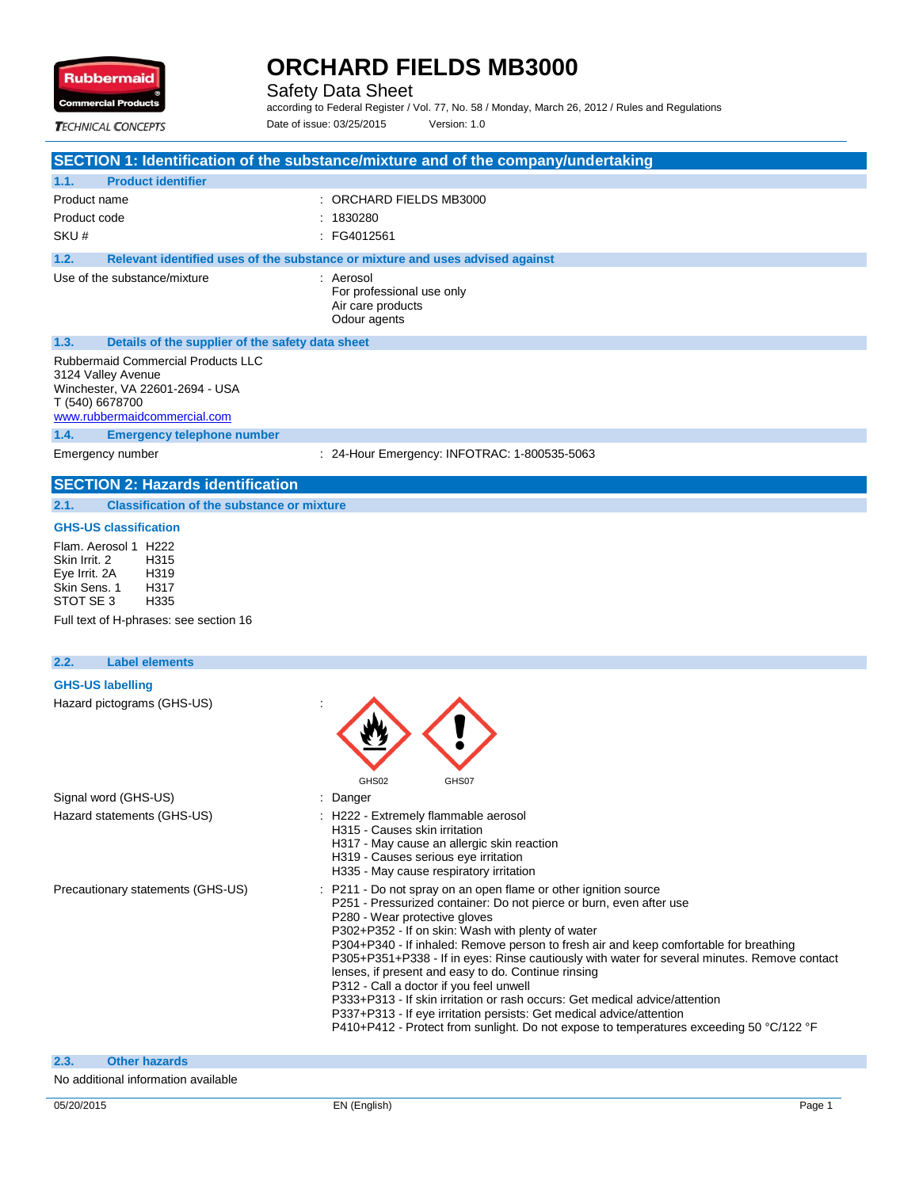

Safety Data Sheet

according to Federal Register / Vol. 77, No. 58 / Monday, March 26, 2012 / Rules and Regulations Date of issue: 03/25/2015 Version: 1.0

**TECHNICAL CONCEPTS** 

### **SECTION 1: Identification of the substance/mixture and of the company/undertaking 1.1. Product identifier** Product name  $\qquad \qquad$ : ORCHARD FIELDS MB3000 Product code : 1830280 SKU # : FG4012561 **1.2. Relevant identified uses of the substance or mixture and uses advised against** Use of the substance/mixture : Aerosol For professional use only Air care products Odour agents **1.3. Details of the supplier of the safety data sheet** Rubbermaid Commercial Products LLC 3124 Valley Avenue Winchester, VA 22601-2694 - USA

T (540) 6678700 www.rubbermaidcommercial.com

**1.4. Emergency telephone number**

Emergency number : 24-Hour Emergency: INFOTRAC: 1-800535-5063

#### **SECTION 2: Hazards identification**

**2.1. Classification of the substance or mixture**

#### **GHS-US classification**

Flam. Aerosol 1 H222<br>Skin Irrit 2 H315 Skin Irrit. 2 Eye Irrit. 2A H319 Skin Sens. 1 H317<br>STOT SE 3 H335 STOT SE 3

Full text of H-phrases: see section 16

## **2.2. Label elements GHS-US labelling** Hazard pictograms (GHS-US) : GHS02 GHS07 Signal word (GHS-US) **in the state of the Signal word (GHS-US)** and the state of the Danger Hazard statements (GHS-US) : H222 - Extremely flammable aerosol H315 - Causes skin irritation H317 - May cause an allergic skin reaction H319 - Causes serious eye irritation H335 - May cause respiratory irritation Precautionary statements (GHS-US) : P211 - Do not spray on an open flame or other ignition source P251 - Pressurized container: Do not pierce or burn, even after use P280 - Wear protective gloves P302+P352 - If on skin: Wash with plenty of water P304+P340 - If inhaled: Remove person to fresh air and keep comfortable for breathing P305+P351+P338 - If in eyes: Rinse cautiously with water for several minutes. Remove contact lenses, if present and easy to do. Continue rinsing P312 - Call a doctor if you feel unwell P333+P313 - If skin irritation or rash occurs: Get medical advice/attention P337+P313 - If eye irritation persists: Get medical advice/attention P410+P412 - Protect from sunlight. Do not expose to temperatures exceeding 50 °C/122 °F **2.3. Other hazards**

No additional information available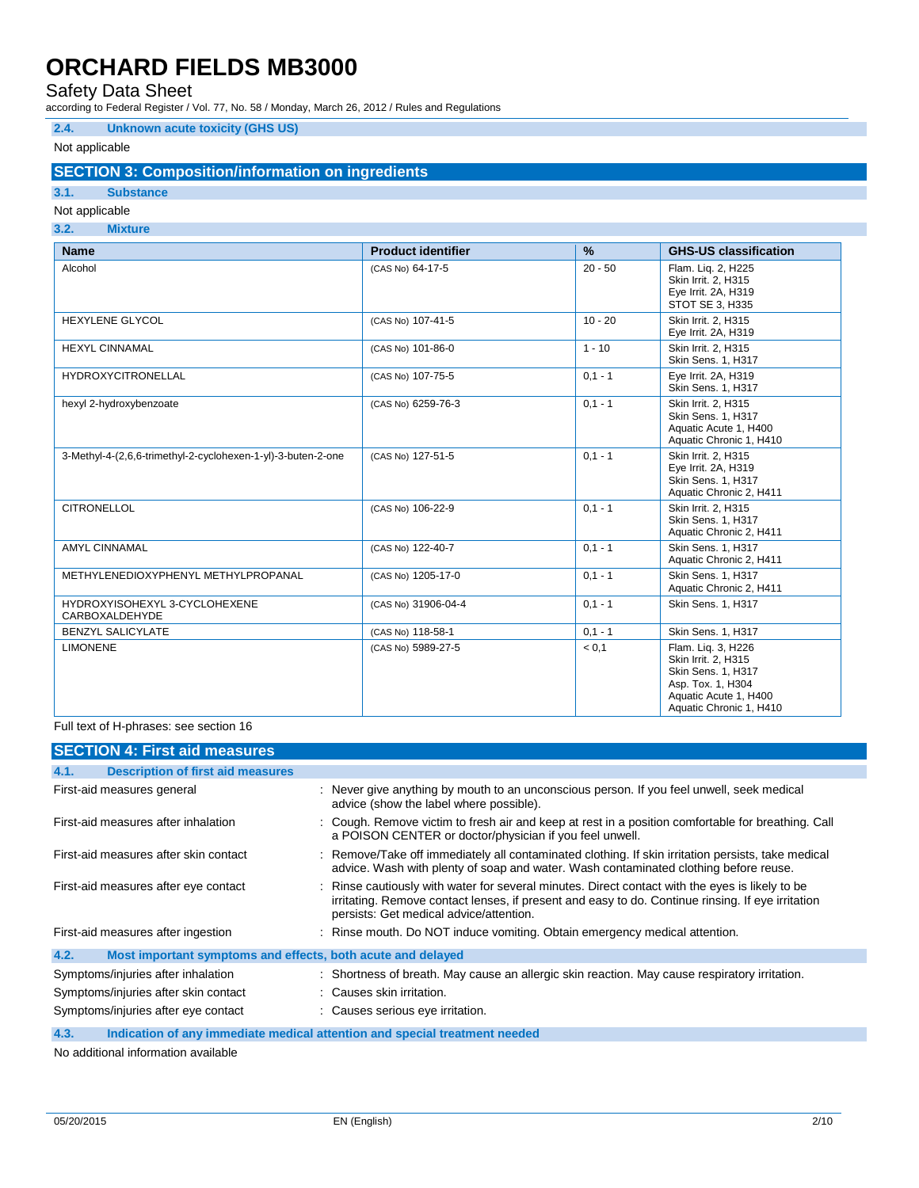## Safety Data Sheet

according to Federal Register / Vol. 77, No. 58 / Monday, March 26, 2012 / Rules and Regulations

### **2.4. Unknown acute toxicity (GHS US)**

### Not applicable

## **SECTION 3: Composition/information on ingredients**

# **3.1. Substance**

## Not applicable

| 3.2.<br><b>Mixture</b>                                       |                           |               |                                                                                                                                          |
|--------------------------------------------------------------|---------------------------|---------------|------------------------------------------------------------------------------------------------------------------------------------------|
| <b>Name</b>                                                  | <b>Product identifier</b> | $\frac{9}{6}$ | <b>GHS-US classification</b>                                                                                                             |
| Alcohol                                                      | (CAS No) 64-17-5          | $20 - 50$     | Flam. Lig. 2, H225<br>Skin Irrit. 2, H315<br>Eye Irrit. 2A, H319<br>STOT SE 3, H335                                                      |
| <b>HEXYLENE GLYCOL</b>                                       | (CAS No) 107-41-5         | $10 - 20$     | Skin Irrit. 2. H315<br>Eye Irrit. 2A, H319                                                                                               |
| <b>HEXYL CINNAMAL</b>                                        | (CAS No) 101-86-0         | $1 - 10$      | Skin Irrit. 2. H315<br>Skin Sens. 1, H317                                                                                                |
| <b>HYDROXYCITRONELLAL</b>                                    | (CAS No) 107-75-5         | $0.1 - 1$     | Eye Irrit. 2A, H319<br>Skin Sens. 1, H317                                                                                                |
| hexyl 2-hydroxybenzoate                                      | (CAS No) 6259-76-3        | $0.1 - 1$     | Skin Irrit. 2, H315<br>Skin Sens. 1, H317<br>Aquatic Acute 1, H400<br>Aquatic Chronic 1, H410                                            |
| 3-Methyl-4-(2,6,6-trimethyl-2-cyclohexen-1-yl)-3-buten-2-one | (CAS No) 127-51-5         | $0.1 - 1$     | Skin Irrit. 2, H315<br>Eye Irrit. 2A, H319<br>Skin Sens. 1, H317<br>Aquatic Chronic 2, H411                                              |
| <b>CITRONELLOL</b>                                           | (CAS No) 106-22-9         | $0,1 - 1$     | Skin Irrit. 2, H315<br>Skin Sens. 1, H317<br>Aquatic Chronic 2, H411                                                                     |
| <b>AMYL CINNAMAL</b>                                         | (CAS No) 122-40-7         | $0.1 - 1$     | <b>Skin Sens. 1. H317</b><br>Aquatic Chronic 2, H411                                                                                     |
| METHYLENEDIOXYPHENYL METHYLPROPANAL                          | (CAS No) 1205-17-0        | $0.1 - 1$     | Skin Sens. 1. H317<br>Aquatic Chronic 2, H411                                                                                            |
| HYDROXYISOHEXYL 3-CYCLOHEXENE<br>CARBOXALDEHYDE              | (CAS No) 31906-04-4       | $0,1 - 1$     | Skin Sens. 1, H317                                                                                                                       |
| <b>BENZYL SALICYLATE</b>                                     | (CAS No) 118-58-1         | $0.1 - 1$     | Skin Sens. 1, H317                                                                                                                       |
| <b>LIMONENE</b>                                              | (CAS No) 5989-27-5        | < 0.1         | Flam. Lig. 3, H226<br>Skin Irrit. 2, H315<br>Skin Sens. 1, H317<br>Asp. Tox. 1, H304<br>Aquatic Acute 1, H400<br>Aquatic Chronic 1, H410 |

#### Full text of H-phrases: see section 16

| <b>SECTION 4: First aid measures</b>                                |                                                                                                                                                                                                                                                 |
|---------------------------------------------------------------------|-------------------------------------------------------------------------------------------------------------------------------------------------------------------------------------------------------------------------------------------------|
| <b>Description of first aid measures</b><br>4.1.                    |                                                                                                                                                                                                                                                 |
| First-aid measures general                                          | : Never give anything by mouth to an unconscious person. If you feel unwell, seek medical<br>advice (show the label where possible).                                                                                                            |
| First-aid measures after inhalation                                 | : Cough. Remove victim to fresh air and keep at rest in a position comfortable for breathing. Call<br>a POISON CENTER or doctor/physician if you feel unwell.                                                                                   |
| First-aid measures after skin contact                               | : Remove/Take off immediately all contaminated clothing. If skin irritation persists, take medical<br>advice. Wash with plenty of soap and water. Wash contaminated clothing before reuse.                                                      |
| First-aid measures after eye contact                                | : Rinse cautiously with water for several minutes. Direct contact with the eyes is likely to be<br>irritating. Remove contact lenses, if present and easy to do. Continue rinsing. If eye irritation<br>persists: Get medical advice/attention. |
| First-aid measures after ingestion                                  | : Rinse mouth. Do NOT induce vomiting. Obtain emergency medical attention.                                                                                                                                                                      |
| 4.2.<br>Most important symptoms and effects, both acute and delayed |                                                                                                                                                                                                                                                 |
| Symptoms/injuries after inhalation                                  | : Shortness of breath. May cause an allergic skin reaction. May cause respiratory irritation.                                                                                                                                                   |
| Symptoms/injuries after skin contact                                | : Causes skin irritation.                                                                                                                                                                                                                       |
| Symptoms/injuries after eye contact                                 | : Causes serious eye irritation.                                                                                                                                                                                                                |
| 4.3.                                                                | Indication of any immediate medical attention and special treatment needed                                                                                                                                                                      |

No additional information available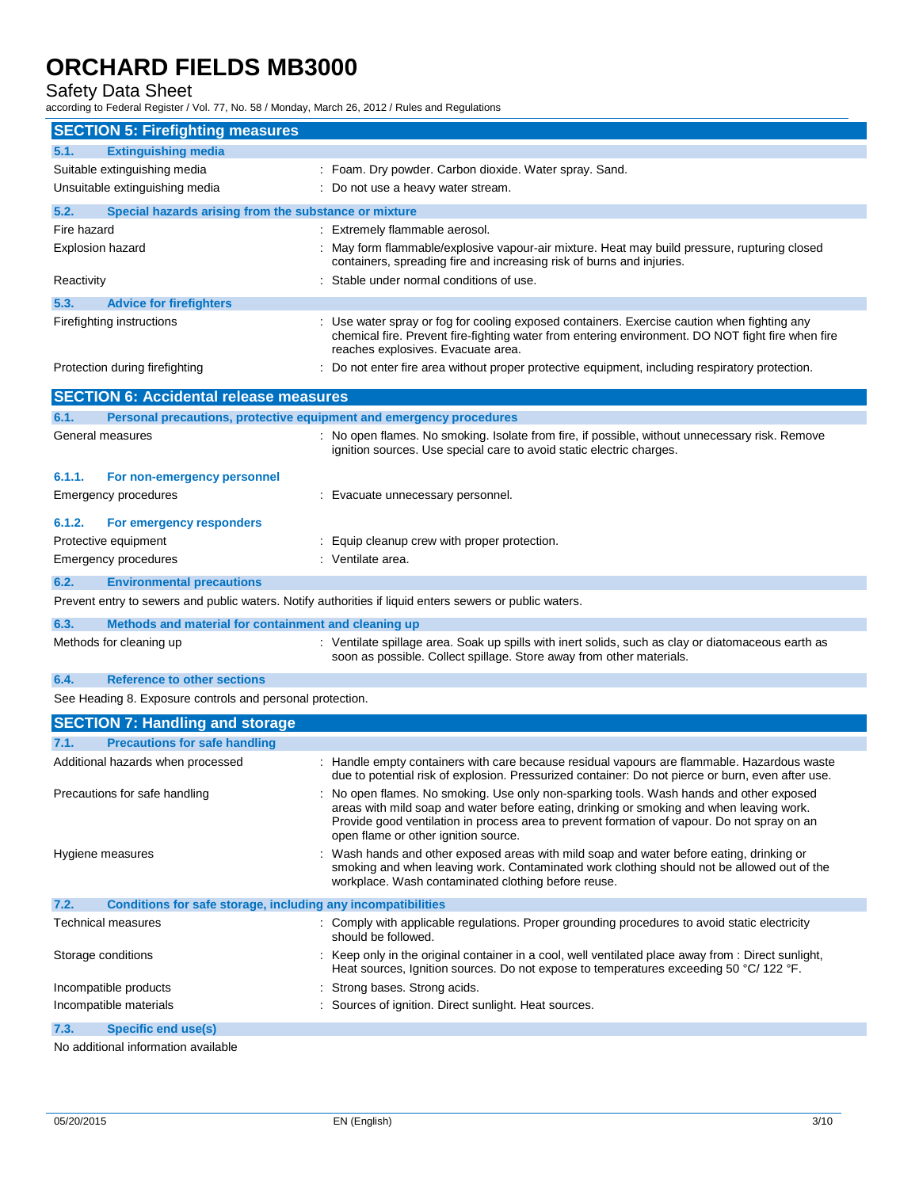Safety Data Sheet

according to Federal Register / Vol. 77, No. 58 / Monday, March 26, 2012 / Rules and Regulations

| <b>Extinguishing media</b><br>5.1.<br>Suitable extinguishing media<br>: Foam. Dry powder. Carbon dioxide. Water spray. Sand.<br>Unsuitable extinguishing media<br>: Do not use a heavy water stream.<br>5.2.<br>Special hazards arising from the substance or mixture<br>Fire hazard<br>: Extremely flammable aerosol.<br>Explosion hazard<br>: May form flammable/explosive vapour-air mixture. Heat may build pressure, rupturing closed<br>containers, spreading fire and increasing risk of burns and injuries.<br>Stable under normal conditions of use.<br>Reactivity<br>5.3.<br><b>Advice for firefighters</b><br>: Use water spray or fog for cooling exposed containers. Exercise caution when fighting any<br>Firefighting instructions<br>chemical fire. Prevent fire-fighting water from entering environment. DO NOT fight fire when fire<br>reaches explosives. Evacuate area.<br>Protection during firefighting<br>Do not enter fire area without proper protective equipment, including respiratory protection.<br><b>SECTION 6: Accidental release measures</b><br>Personal precautions, protective equipment and emergency procedures<br>6.1.<br>General measures<br>: No open flames. No smoking. Isolate from fire, if possible, without unnecessary risk. Remove<br>ignition sources. Use special care to avoid static electric charges.<br>6.1.1.<br>For non-emergency personnel<br>Emergency procedures<br>: Evacuate unnecessary personnel.<br>6.1.2.<br>For emergency responders<br>Protective equipment<br>: Equip cleanup crew with proper protection.<br>: Ventilate area.<br>Emergency procedures<br>6.2.<br><b>Environmental precautions</b><br>Prevent entry to sewers and public waters. Notify authorities if liquid enters sewers or public waters.<br>6.3.<br>Methods and material for containment and cleaning up<br>: Ventilate spillage area. Soak up spills with inert solids, such as clay or diatomaceous earth as<br>Methods for cleaning up<br>soon as possible. Collect spillage. Store away from other materials.<br>6.4.<br><b>Reference to other sections</b><br>See Heading 8. Exposure controls and personal protection.<br><b>SECTION 7: Handling and storage</b><br><b>Precautions for safe handling</b><br>7.1.<br>Additional hazards when processed<br>: Handle empty containers with care because residual vapours are flammable. Hazardous waste<br>due to potential risk of explosion. Pressurized container: Do not pierce or burn, even after use.<br>No open flames. No smoking. Use only non-sparking tools. Wash hands and other exposed<br>Precautions for safe handling<br>areas with mild soap and water before eating, drinking or smoking and when leaving work.<br>Provide good ventilation in process area to prevent formation of vapour. Do not spray on an<br>open flame or other ignition source.<br>Wash hands and other exposed areas with mild soap and water before eating, drinking or<br>Hygiene measures<br>smoking and when leaving work. Contaminated work clothing should not be allowed out of the<br>workplace. Wash contaminated clothing before reuse.<br>7.2.<br>Conditions for safe storage, including any incompatibilities<br>: Comply with applicable regulations. Proper grounding procedures to avoid static electricity<br>Technical measures<br>should be followed.<br>: Keep only in the original container in a cool, well ventilated place away from : Direct sunlight,<br>Storage conditions<br>Heat sources, Ignition sources. Do not expose to temperatures exceeding 50 °C/ 122 °F.<br>Strong bases. Strong acids.<br>Incompatible products<br>Incompatible materials<br>: Sources of ignition. Direct sunlight. Heat sources.<br>Specific end use(s)<br>7.3. | <b>SECTION 5: Firefighting measures</b> |  |
|---------------------------------------------------------------------------------------------------------------------------------------------------------------------------------------------------------------------------------------------------------------------------------------------------------------------------------------------------------------------------------------------------------------------------------------------------------------------------------------------------------------------------------------------------------------------------------------------------------------------------------------------------------------------------------------------------------------------------------------------------------------------------------------------------------------------------------------------------------------------------------------------------------------------------------------------------------------------------------------------------------------------------------------------------------------------------------------------------------------------------------------------------------------------------------------------------------------------------------------------------------------------------------------------------------------------------------------------------------------------------------------------------------------------------------------------------------------------------------------------------------------------------------------------------------------------------------------------------------------------------------------------------------------------------------------------------------------------------------------------------------------------------------------------------------------------------------------------------------------------------------------------------------------------------------------------------------------------------------------------------------------------------------------------------------------------------------------------------------------------------------------------------------------------------------------------------------------------------------------------------------------------------------------------------------------------------------------------------------------------------------------------------------------------------------------------------------------------------------------------------------------------------------------------------------------------------------------------------------------------------------------------------------------------------------------------------------------------------------------------------------------------------------------------------------------------------------------------------------------------------------------------------------------------------------------------------------------------------------------------------------------------------------------------------------------------------------------------------------------------------------------------------------------------------------------------------------------------------------------------------------------------------------------------------------------------------------------------------------------------------------------------------------------------------------------------------------------------------------------------------------------------------------------------------------------------------------------------------------------------------------------------------------------------------------------------------------------------------------------------------------------------|-----------------------------------------|--|
|                                                                                                                                                                                                                                                                                                                                                                                                                                                                                                                                                                                                                                                                                                                                                                                                                                                                                                                                                                                                                                                                                                                                                                                                                                                                                                                                                                                                                                                                                                                                                                                                                                                                                                                                                                                                                                                                                                                                                                                                                                                                                                                                                                                                                                                                                                                                                                                                                                                                                                                                                                                                                                                                                                                                                                                                                                                                                                                                                                                                                                                                                                                                                                                                                                                                                                                                                                                                                                                                                                                                                                                                                                                                                                                                                                     |                                         |  |
|                                                                                                                                                                                                                                                                                                                                                                                                                                                                                                                                                                                                                                                                                                                                                                                                                                                                                                                                                                                                                                                                                                                                                                                                                                                                                                                                                                                                                                                                                                                                                                                                                                                                                                                                                                                                                                                                                                                                                                                                                                                                                                                                                                                                                                                                                                                                                                                                                                                                                                                                                                                                                                                                                                                                                                                                                                                                                                                                                                                                                                                                                                                                                                                                                                                                                                                                                                                                                                                                                                                                                                                                                                                                                                                                                                     |                                         |  |
|                                                                                                                                                                                                                                                                                                                                                                                                                                                                                                                                                                                                                                                                                                                                                                                                                                                                                                                                                                                                                                                                                                                                                                                                                                                                                                                                                                                                                                                                                                                                                                                                                                                                                                                                                                                                                                                                                                                                                                                                                                                                                                                                                                                                                                                                                                                                                                                                                                                                                                                                                                                                                                                                                                                                                                                                                                                                                                                                                                                                                                                                                                                                                                                                                                                                                                                                                                                                                                                                                                                                                                                                                                                                                                                                                                     |                                         |  |
|                                                                                                                                                                                                                                                                                                                                                                                                                                                                                                                                                                                                                                                                                                                                                                                                                                                                                                                                                                                                                                                                                                                                                                                                                                                                                                                                                                                                                                                                                                                                                                                                                                                                                                                                                                                                                                                                                                                                                                                                                                                                                                                                                                                                                                                                                                                                                                                                                                                                                                                                                                                                                                                                                                                                                                                                                                                                                                                                                                                                                                                                                                                                                                                                                                                                                                                                                                                                                                                                                                                                                                                                                                                                                                                                                                     |                                         |  |
|                                                                                                                                                                                                                                                                                                                                                                                                                                                                                                                                                                                                                                                                                                                                                                                                                                                                                                                                                                                                                                                                                                                                                                                                                                                                                                                                                                                                                                                                                                                                                                                                                                                                                                                                                                                                                                                                                                                                                                                                                                                                                                                                                                                                                                                                                                                                                                                                                                                                                                                                                                                                                                                                                                                                                                                                                                                                                                                                                                                                                                                                                                                                                                                                                                                                                                                                                                                                                                                                                                                                                                                                                                                                                                                                                                     |                                         |  |
|                                                                                                                                                                                                                                                                                                                                                                                                                                                                                                                                                                                                                                                                                                                                                                                                                                                                                                                                                                                                                                                                                                                                                                                                                                                                                                                                                                                                                                                                                                                                                                                                                                                                                                                                                                                                                                                                                                                                                                                                                                                                                                                                                                                                                                                                                                                                                                                                                                                                                                                                                                                                                                                                                                                                                                                                                                                                                                                                                                                                                                                                                                                                                                                                                                                                                                                                                                                                                                                                                                                                                                                                                                                                                                                                                                     |                                         |  |
|                                                                                                                                                                                                                                                                                                                                                                                                                                                                                                                                                                                                                                                                                                                                                                                                                                                                                                                                                                                                                                                                                                                                                                                                                                                                                                                                                                                                                                                                                                                                                                                                                                                                                                                                                                                                                                                                                                                                                                                                                                                                                                                                                                                                                                                                                                                                                                                                                                                                                                                                                                                                                                                                                                                                                                                                                                                                                                                                                                                                                                                                                                                                                                                                                                                                                                                                                                                                                                                                                                                                                                                                                                                                                                                                                                     |                                         |  |
|                                                                                                                                                                                                                                                                                                                                                                                                                                                                                                                                                                                                                                                                                                                                                                                                                                                                                                                                                                                                                                                                                                                                                                                                                                                                                                                                                                                                                                                                                                                                                                                                                                                                                                                                                                                                                                                                                                                                                                                                                                                                                                                                                                                                                                                                                                                                                                                                                                                                                                                                                                                                                                                                                                                                                                                                                                                                                                                                                                                                                                                                                                                                                                                                                                                                                                                                                                                                                                                                                                                                                                                                                                                                                                                                                                     |                                         |  |
|                                                                                                                                                                                                                                                                                                                                                                                                                                                                                                                                                                                                                                                                                                                                                                                                                                                                                                                                                                                                                                                                                                                                                                                                                                                                                                                                                                                                                                                                                                                                                                                                                                                                                                                                                                                                                                                                                                                                                                                                                                                                                                                                                                                                                                                                                                                                                                                                                                                                                                                                                                                                                                                                                                                                                                                                                                                                                                                                                                                                                                                                                                                                                                                                                                                                                                                                                                                                                                                                                                                                                                                                                                                                                                                                                                     |                                         |  |
|                                                                                                                                                                                                                                                                                                                                                                                                                                                                                                                                                                                                                                                                                                                                                                                                                                                                                                                                                                                                                                                                                                                                                                                                                                                                                                                                                                                                                                                                                                                                                                                                                                                                                                                                                                                                                                                                                                                                                                                                                                                                                                                                                                                                                                                                                                                                                                                                                                                                                                                                                                                                                                                                                                                                                                                                                                                                                                                                                                                                                                                                                                                                                                                                                                                                                                                                                                                                                                                                                                                                                                                                                                                                                                                                                                     |                                         |  |
|                                                                                                                                                                                                                                                                                                                                                                                                                                                                                                                                                                                                                                                                                                                                                                                                                                                                                                                                                                                                                                                                                                                                                                                                                                                                                                                                                                                                                                                                                                                                                                                                                                                                                                                                                                                                                                                                                                                                                                                                                                                                                                                                                                                                                                                                                                                                                                                                                                                                                                                                                                                                                                                                                                                                                                                                                                                                                                                                                                                                                                                                                                                                                                                                                                                                                                                                                                                                                                                                                                                                                                                                                                                                                                                                                                     |                                         |  |
|                                                                                                                                                                                                                                                                                                                                                                                                                                                                                                                                                                                                                                                                                                                                                                                                                                                                                                                                                                                                                                                                                                                                                                                                                                                                                                                                                                                                                                                                                                                                                                                                                                                                                                                                                                                                                                                                                                                                                                                                                                                                                                                                                                                                                                                                                                                                                                                                                                                                                                                                                                                                                                                                                                                                                                                                                                                                                                                                                                                                                                                                                                                                                                                                                                                                                                                                                                                                                                                                                                                                                                                                                                                                                                                                                                     |                                         |  |
|                                                                                                                                                                                                                                                                                                                                                                                                                                                                                                                                                                                                                                                                                                                                                                                                                                                                                                                                                                                                                                                                                                                                                                                                                                                                                                                                                                                                                                                                                                                                                                                                                                                                                                                                                                                                                                                                                                                                                                                                                                                                                                                                                                                                                                                                                                                                                                                                                                                                                                                                                                                                                                                                                                                                                                                                                                                                                                                                                                                                                                                                                                                                                                                                                                                                                                                                                                                                                                                                                                                                                                                                                                                                                                                                                                     |                                         |  |
|                                                                                                                                                                                                                                                                                                                                                                                                                                                                                                                                                                                                                                                                                                                                                                                                                                                                                                                                                                                                                                                                                                                                                                                                                                                                                                                                                                                                                                                                                                                                                                                                                                                                                                                                                                                                                                                                                                                                                                                                                                                                                                                                                                                                                                                                                                                                                                                                                                                                                                                                                                                                                                                                                                                                                                                                                                                                                                                                                                                                                                                                                                                                                                                                                                                                                                                                                                                                                                                                                                                                                                                                                                                                                                                                                                     |                                         |  |
|                                                                                                                                                                                                                                                                                                                                                                                                                                                                                                                                                                                                                                                                                                                                                                                                                                                                                                                                                                                                                                                                                                                                                                                                                                                                                                                                                                                                                                                                                                                                                                                                                                                                                                                                                                                                                                                                                                                                                                                                                                                                                                                                                                                                                                                                                                                                                                                                                                                                                                                                                                                                                                                                                                                                                                                                                                                                                                                                                                                                                                                                                                                                                                                                                                                                                                                                                                                                                                                                                                                                                                                                                                                                                                                                                                     |                                         |  |
|                                                                                                                                                                                                                                                                                                                                                                                                                                                                                                                                                                                                                                                                                                                                                                                                                                                                                                                                                                                                                                                                                                                                                                                                                                                                                                                                                                                                                                                                                                                                                                                                                                                                                                                                                                                                                                                                                                                                                                                                                                                                                                                                                                                                                                                                                                                                                                                                                                                                                                                                                                                                                                                                                                                                                                                                                                                                                                                                                                                                                                                                                                                                                                                                                                                                                                                                                                                                                                                                                                                                                                                                                                                                                                                                                                     |                                         |  |
|                                                                                                                                                                                                                                                                                                                                                                                                                                                                                                                                                                                                                                                                                                                                                                                                                                                                                                                                                                                                                                                                                                                                                                                                                                                                                                                                                                                                                                                                                                                                                                                                                                                                                                                                                                                                                                                                                                                                                                                                                                                                                                                                                                                                                                                                                                                                                                                                                                                                                                                                                                                                                                                                                                                                                                                                                                                                                                                                                                                                                                                                                                                                                                                                                                                                                                                                                                                                                                                                                                                                                                                                                                                                                                                                                                     |                                         |  |
|                                                                                                                                                                                                                                                                                                                                                                                                                                                                                                                                                                                                                                                                                                                                                                                                                                                                                                                                                                                                                                                                                                                                                                                                                                                                                                                                                                                                                                                                                                                                                                                                                                                                                                                                                                                                                                                                                                                                                                                                                                                                                                                                                                                                                                                                                                                                                                                                                                                                                                                                                                                                                                                                                                                                                                                                                                                                                                                                                                                                                                                                                                                                                                                                                                                                                                                                                                                                                                                                                                                                                                                                                                                                                                                                                                     |                                         |  |
|                                                                                                                                                                                                                                                                                                                                                                                                                                                                                                                                                                                                                                                                                                                                                                                                                                                                                                                                                                                                                                                                                                                                                                                                                                                                                                                                                                                                                                                                                                                                                                                                                                                                                                                                                                                                                                                                                                                                                                                                                                                                                                                                                                                                                                                                                                                                                                                                                                                                                                                                                                                                                                                                                                                                                                                                                                                                                                                                                                                                                                                                                                                                                                                                                                                                                                                                                                                                                                                                                                                                                                                                                                                                                                                                                                     |                                         |  |
|                                                                                                                                                                                                                                                                                                                                                                                                                                                                                                                                                                                                                                                                                                                                                                                                                                                                                                                                                                                                                                                                                                                                                                                                                                                                                                                                                                                                                                                                                                                                                                                                                                                                                                                                                                                                                                                                                                                                                                                                                                                                                                                                                                                                                                                                                                                                                                                                                                                                                                                                                                                                                                                                                                                                                                                                                                                                                                                                                                                                                                                                                                                                                                                                                                                                                                                                                                                                                                                                                                                                                                                                                                                                                                                                                                     |                                         |  |
|                                                                                                                                                                                                                                                                                                                                                                                                                                                                                                                                                                                                                                                                                                                                                                                                                                                                                                                                                                                                                                                                                                                                                                                                                                                                                                                                                                                                                                                                                                                                                                                                                                                                                                                                                                                                                                                                                                                                                                                                                                                                                                                                                                                                                                                                                                                                                                                                                                                                                                                                                                                                                                                                                                                                                                                                                                                                                                                                                                                                                                                                                                                                                                                                                                                                                                                                                                                                                                                                                                                                                                                                                                                                                                                                                                     |                                         |  |
|                                                                                                                                                                                                                                                                                                                                                                                                                                                                                                                                                                                                                                                                                                                                                                                                                                                                                                                                                                                                                                                                                                                                                                                                                                                                                                                                                                                                                                                                                                                                                                                                                                                                                                                                                                                                                                                                                                                                                                                                                                                                                                                                                                                                                                                                                                                                                                                                                                                                                                                                                                                                                                                                                                                                                                                                                                                                                                                                                                                                                                                                                                                                                                                                                                                                                                                                                                                                                                                                                                                                                                                                                                                                                                                                                                     |                                         |  |
|                                                                                                                                                                                                                                                                                                                                                                                                                                                                                                                                                                                                                                                                                                                                                                                                                                                                                                                                                                                                                                                                                                                                                                                                                                                                                                                                                                                                                                                                                                                                                                                                                                                                                                                                                                                                                                                                                                                                                                                                                                                                                                                                                                                                                                                                                                                                                                                                                                                                                                                                                                                                                                                                                                                                                                                                                                                                                                                                                                                                                                                                                                                                                                                                                                                                                                                                                                                                                                                                                                                                                                                                                                                                                                                                                                     |                                         |  |
|                                                                                                                                                                                                                                                                                                                                                                                                                                                                                                                                                                                                                                                                                                                                                                                                                                                                                                                                                                                                                                                                                                                                                                                                                                                                                                                                                                                                                                                                                                                                                                                                                                                                                                                                                                                                                                                                                                                                                                                                                                                                                                                                                                                                                                                                                                                                                                                                                                                                                                                                                                                                                                                                                                                                                                                                                                                                                                                                                                                                                                                                                                                                                                                                                                                                                                                                                                                                                                                                                                                                                                                                                                                                                                                                                                     |                                         |  |
|                                                                                                                                                                                                                                                                                                                                                                                                                                                                                                                                                                                                                                                                                                                                                                                                                                                                                                                                                                                                                                                                                                                                                                                                                                                                                                                                                                                                                                                                                                                                                                                                                                                                                                                                                                                                                                                                                                                                                                                                                                                                                                                                                                                                                                                                                                                                                                                                                                                                                                                                                                                                                                                                                                                                                                                                                                                                                                                                                                                                                                                                                                                                                                                                                                                                                                                                                                                                                                                                                                                                                                                                                                                                                                                                                                     |                                         |  |
|                                                                                                                                                                                                                                                                                                                                                                                                                                                                                                                                                                                                                                                                                                                                                                                                                                                                                                                                                                                                                                                                                                                                                                                                                                                                                                                                                                                                                                                                                                                                                                                                                                                                                                                                                                                                                                                                                                                                                                                                                                                                                                                                                                                                                                                                                                                                                                                                                                                                                                                                                                                                                                                                                                                                                                                                                                                                                                                                                                                                                                                                                                                                                                                                                                                                                                                                                                                                                                                                                                                                                                                                                                                                                                                                                                     |                                         |  |
|                                                                                                                                                                                                                                                                                                                                                                                                                                                                                                                                                                                                                                                                                                                                                                                                                                                                                                                                                                                                                                                                                                                                                                                                                                                                                                                                                                                                                                                                                                                                                                                                                                                                                                                                                                                                                                                                                                                                                                                                                                                                                                                                                                                                                                                                                                                                                                                                                                                                                                                                                                                                                                                                                                                                                                                                                                                                                                                                                                                                                                                                                                                                                                                                                                                                                                                                                                                                                                                                                                                                                                                                                                                                                                                                                                     |                                         |  |
|                                                                                                                                                                                                                                                                                                                                                                                                                                                                                                                                                                                                                                                                                                                                                                                                                                                                                                                                                                                                                                                                                                                                                                                                                                                                                                                                                                                                                                                                                                                                                                                                                                                                                                                                                                                                                                                                                                                                                                                                                                                                                                                                                                                                                                                                                                                                                                                                                                                                                                                                                                                                                                                                                                                                                                                                                                                                                                                                                                                                                                                                                                                                                                                                                                                                                                                                                                                                                                                                                                                                                                                                                                                                                                                                                                     |                                         |  |
|                                                                                                                                                                                                                                                                                                                                                                                                                                                                                                                                                                                                                                                                                                                                                                                                                                                                                                                                                                                                                                                                                                                                                                                                                                                                                                                                                                                                                                                                                                                                                                                                                                                                                                                                                                                                                                                                                                                                                                                                                                                                                                                                                                                                                                                                                                                                                                                                                                                                                                                                                                                                                                                                                                                                                                                                                                                                                                                                                                                                                                                                                                                                                                                                                                                                                                                                                                                                                                                                                                                                                                                                                                                                                                                                                                     |                                         |  |
|                                                                                                                                                                                                                                                                                                                                                                                                                                                                                                                                                                                                                                                                                                                                                                                                                                                                                                                                                                                                                                                                                                                                                                                                                                                                                                                                                                                                                                                                                                                                                                                                                                                                                                                                                                                                                                                                                                                                                                                                                                                                                                                                                                                                                                                                                                                                                                                                                                                                                                                                                                                                                                                                                                                                                                                                                                                                                                                                                                                                                                                                                                                                                                                                                                                                                                                                                                                                                                                                                                                                                                                                                                                                                                                                                                     |                                         |  |
|                                                                                                                                                                                                                                                                                                                                                                                                                                                                                                                                                                                                                                                                                                                                                                                                                                                                                                                                                                                                                                                                                                                                                                                                                                                                                                                                                                                                                                                                                                                                                                                                                                                                                                                                                                                                                                                                                                                                                                                                                                                                                                                                                                                                                                                                                                                                                                                                                                                                                                                                                                                                                                                                                                                                                                                                                                                                                                                                                                                                                                                                                                                                                                                                                                                                                                                                                                                                                                                                                                                                                                                                                                                                                                                                                                     |                                         |  |
|                                                                                                                                                                                                                                                                                                                                                                                                                                                                                                                                                                                                                                                                                                                                                                                                                                                                                                                                                                                                                                                                                                                                                                                                                                                                                                                                                                                                                                                                                                                                                                                                                                                                                                                                                                                                                                                                                                                                                                                                                                                                                                                                                                                                                                                                                                                                                                                                                                                                                                                                                                                                                                                                                                                                                                                                                                                                                                                                                                                                                                                                                                                                                                                                                                                                                                                                                                                                                                                                                                                                                                                                                                                                                                                                                                     |                                         |  |
|                                                                                                                                                                                                                                                                                                                                                                                                                                                                                                                                                                                                                                                                                                                                                                                                                                                                                                                                                                                                                                                                                                                                                                                                                                                                                                                                                                                                                                                                                                                                                                                                                                                                                                                                                                                                                                                                                                                                                                                                                                                                                                                                                                                                                                                                                                                                                                                                                                                                                                                                                                                                                                                                                                                                                                                                                                                                                                                                                                                                                                                                                                                                                                                                                                                                                                                                                                                                                                                                                                                                                                                                                                                                                                                                                                     |                                         |  |
|                                                                                                                                                                                                                                                                                                                                                                                                                                                                                                                                                                                                                                                                                                                                                                                                                                                                                                                                                                                                                                                                                                                                                                                                                                                                                                                                                                                                                                                                                                                                                                                                                                                                                                                                                                                                                                                                                                                                                                                                                                                                                                                                                                                                                                                                                                                                                                                                                                                                                                                                                                                                                                                                                                                                                                                                                                                                                                                                                                                                                                                                                                                                                                                                                                                                                                                                                                                                                                                                                                                                                                                                                                                                                                                                                                     |                                         |  |
|                                                                                                                                                                                                                                                                                                                                                                                                                                                                                                                                                                                                                                                                                                                                                                                                                                                                                                                                                                                                                                                                                                                                                                                                                                                                                                                                                                                                                                                                                                                                                                                                                                                                                                                                                                                                                                                                                                                                                                                                                                                                                                                                                                                                                                                                                                                                                                                                                                                                                                                                                                                                                                                                                                                                                                                                                                                                                                                                                                                                                                                                                                                                                                                                                                                                                                                                                                                                                                                                                                                                                                                                                                                                                                                                                                     |                                         |  |

No additional information available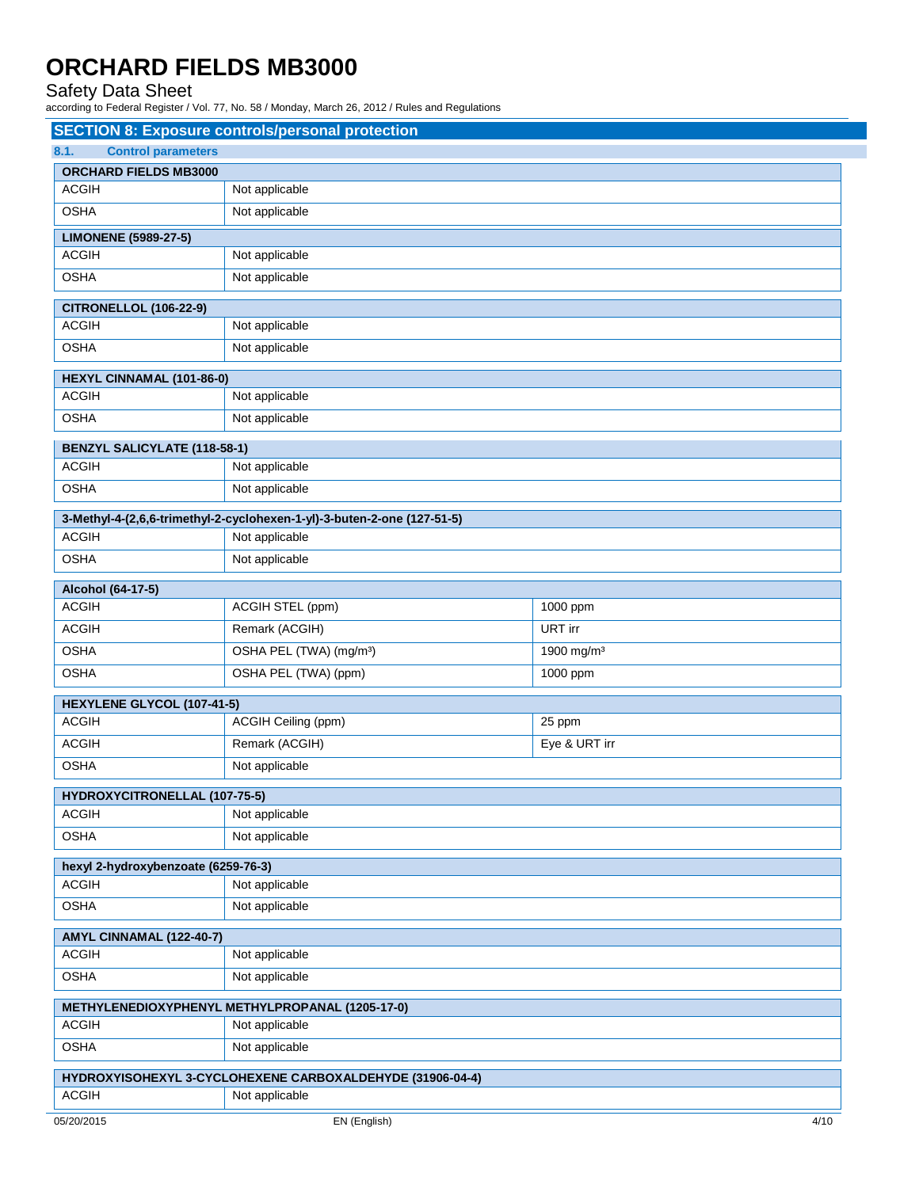## Safety Data Sheet

according to Federal Register / Vol. 77, No. 58 / Monday, March 26, 2012 / Rules and Regulations

|                                           | <b>SECTION 8: Exposure controls/personal protection</b>                 |                        |  |
|-------------------------------------------|-------------------------------------------------------------------------|------------------------|--|
| <b>Control parameters</b><br>8.1.         |                                                                         |                        |  |
| <b>ORCHARD FIELDS MB3000</b>              |                                                                         |                        |  |
| <b>ACGIH</b>                              | Not applicable                                                          |                        |  |
| <b>OSHA</b>                               | Not applicable                                                          |                        |  |
| <b>LIMONENE (5989-27-5)</b>               |                                                                         |                        |  |
| <b>ACGIH</b>                              | Not applicable                                                          |                        |  |
| <b>OSHA</b>                               | Not applicable                                                          |                        |  |
| <b>CITRONELLOL (106-22-9)</b>             |                                                                         |                        |  |
| <b>ACGIH</b>                              | Not applicable                                                          |                        |  |
| <b>OSHA</b>                               | Not applicable                                                          |                        |  |
|                                           |                                                                         |                        |  |
| HEXYL CINNAMAL (101-86-0)<br><b>ACGIH</b> |                                                                         |                        |  |
|                                           | Not applicable                                                          |                        |  |
| <b>OSHA</b>                               | Not applicable                                                          |                        |  |
| <b>BENZYL SALICYLATE (118-58-1)</b>       |                                                                         |                        |  |
| <b>ACGIH</b>                              | Not applicable                                                          |                        |  |
| <b>OSHA</b>                               | Not applicable                                                          |                        |  |
|                                           | 3-Methyl-4-(2,6,6-trimethyl-2-cyclohexen-1-yl)-3-buten-2-one (127-51-5) |                        |  |
| <b>ACGIH</b>                              | Not applicable                                                          |                        |  |
| <b>OSHA</b>                               | Not applicable                                                          |                        |  |
| Alcohol (64-17-5)                         |                                                                         |                        |  |
| <b>ACGIH</b>                              | ACGIH STEL (ppm)                                                        | 1000 ppm               |  |
| <b>ACGIH</b>                              | Remark (ACGIH)                                                          | URT irr                |  |
| <b>OSHA</b>                               | OSHA PEL (TWA) (mg/m <sup>3</sup> )                                     | 1900 mg/m <sup>3</sup> |  |
| <b>OSHA</b>                               | OSHA PEL (TWA) (ppm)                                                    | 1000 ppm               |  |
|                                           |                                                                         |                        |  |
| HEXYLENE GLYCOL (107-41-5)                |                                                                         |                        |  |
| <b>ACGIH</b>                              | ACGIH Ceiling (ppm)                                                     | 25 ppm                 |  |
| <b>ACGIH</b>                              | Remark (ACGIH)                                                          | Eye & URT irr          |  |
| <b>OSHA</b>                               | Not applicable                                                          |                        |  |
| HYDROXYCITRONELLAL (107-75-5)             |                                                                         |                        |  |
| <b>ACGIH</b>                              | Not applicable                                                          |                        |  |
| <b>OSHA</b>                               | Not applicable                                                          |                        |  |
| hexyl 2-hydroxybenzoate (6259-76-3)       |                                                                         |                        |  |
| <b>ACGIH</b>                              | Not applicable                                                          |                        |  |
| <b>OSHA</b>                               | Not applicable                                                          |                        |  |
|                                           |                                                                         |                        |  |
| AMYL CINNAMAL (122-40-7)<br><b>ACGIH</b>  | Not applicable                                                          |                        |  |
| <b>OSHA</b>                               | Not applicable                                                          |                        |  |
|                                           |                                                                         |                        |  |
|                                           | METHYLENEDIOXYPHENYL METHYLPROPANAL (1205-17-0)                         |                        |  |
| <b>ACGIH</b>                              | Not applicable                                                          |                        |  |
| <b>OSHA</b>                               | Not applicable                                                          |                        |  |
|                                           | HYDROXYISOHEXYL 3-CYCLOHEXENE CARBOXALDEHYDE (31906-04-4)               |                        |  |
| <b>ACGIH</b>                              | Not applicable                                                          |                        |  |
|                                           |                                                                         |                        |  |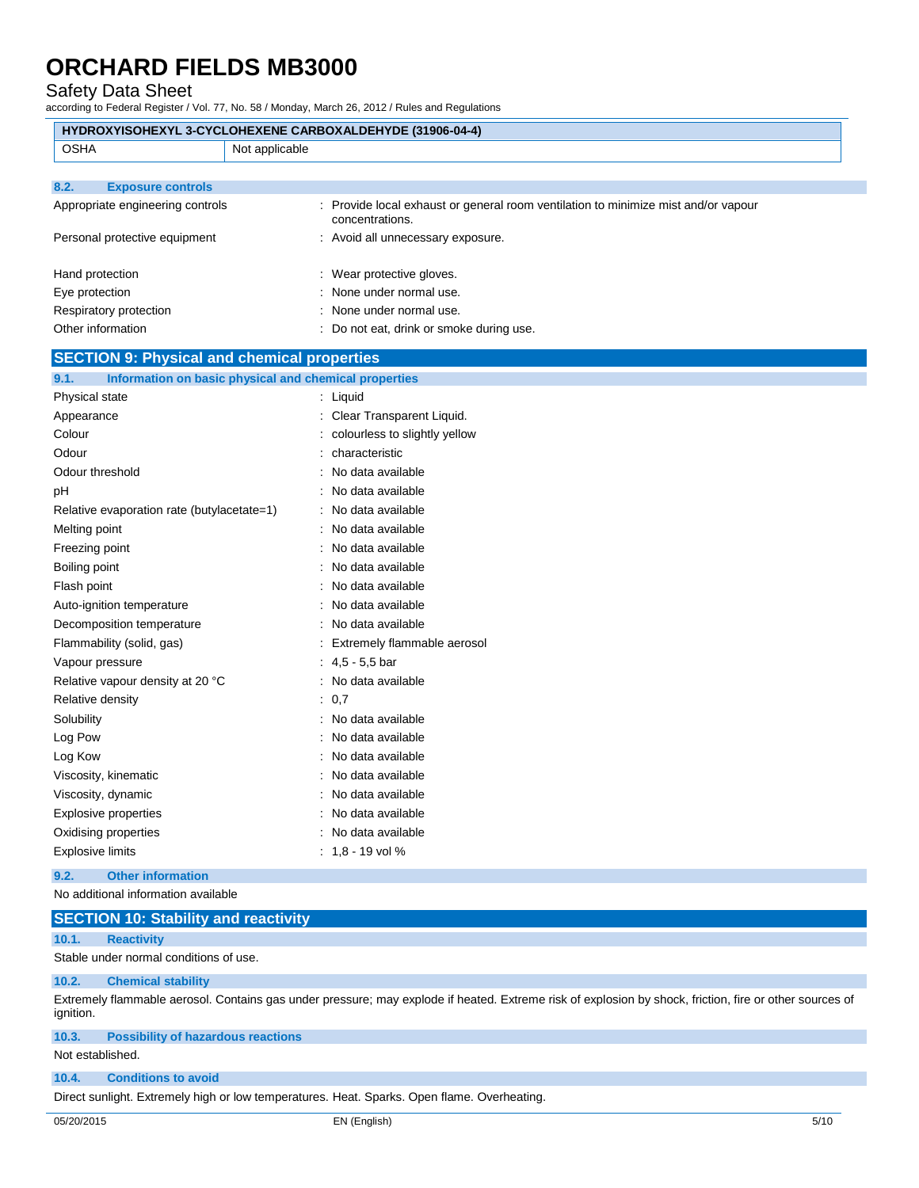### Safety Data Sheet

according to Federal Register / Vol. 77, No. 58 / Monday, March 26, 2012 / Rules and Regulations

|                                                    | HYDROXYISOHEXYL 3-CYCLOHEXENE CARBOXALDEHYDE (31906-04-4)                                             |
|----------------------------------------------------|-------------------------------------------------------------------------------------------------------|
| <b>OSHA</b>                                        | Not applicable                                                                                        |
|                                                    |                                                                                                       |
| <b>Exposure controls</b><br>8.2.                   |                                                                                                       |
| Appropriate engineering controls                   | : Provide local exhaust or general room ventilation to minimize mist and/or vapour<br>concentrations. |
| Personal protective equipment                      | : Avoid all unnecessary exposure.                                                                     |
| Hand protection                                    | : Wear protective gloves.                                                                             |
| Eye protection                                     | None under normal use.                                                                                |
| Respiratory protection                             | None under normal use.                                                                                |
| Other information                                  | : Do not eat, drink or smoke during use.                                                              |
| <b>SECTION 9: Physical and chemical properties</b> |                                                                                                       |
| 9.1.                                               | Information on basic physical and chemical properties                                                 |
| Physical state                                     | : Liquid                                                                                              |
| Appearance                                         | : Clear Transparent Liquid.                                                                           |
| Colour                                             | colourless to slightly yellow                                                                         |
| Odour                                              | characteristic                                                                                        |
| Odour threshold                                    | No data available                                                                                     |
| рH                                                 | No data available                                                                                     |
| Relative evaporation rate (butylacetate=1)         | : No data available                                                                                   |
| Melting point                                      | No data available                                                                                     |
| Freezing point                                     | No data available                                                                                     |
| Boiling point                                      | No data available                                                                                     |
| Flash point                                        | No data available                                                                                     |
| Auto-ignition temperature                          | No data available                                                                                     |
| Decomposition temperature                          | : No data available                                                                                   |
| Flammability (solid, gas)                          | : Extremely flammable aerosol                                                                         |
| Vapour pressure                                    | : $4,5 - 5,5$ bar                                                                                     |
| Relative vapour density at 20 °C                   | : No data available                                                                                   |
| Relative density                                   | : 0.7                                                                                                 |
| Solubility                                         | : No data available                                                                                   |
| Log Pow                                            | : No data available                                                                                   |
| Log Kow                                            | No data available                                                                                     |
| Viscosity, kinematic                               | No data available                                                                                     |
| Viscosity, dynamic                                 | : No data available                                                                                   |
| <b>Explosive properties</b>                        | : No data available                                                                                   |
| Oxidising properties                               | No data available                                                                                     |
| <b>Explosive limits</b>                            | $: 1,8 - 19$ vol $%$                                                                                  |

#### **9.2. Other information**

No additional information available

|  | <b>SECTION 10: Stability and reactivity</b> |  |  |
|--|---------------------------------------------|--|--|
|--|---------------------------------------------|--|--|

### **10.1. Reactivity**

Stable under normal conditions of use.

#### **10.2. Chemical stability**

Extremely flammable aerosol. Contains gas under pressure; may explode if heated. Extreme risk of explosion by shock, friction, fire or other sources of ignition.

### **10.3. Possibility of hazardous reactions**

Not established.

### **10.4. Conditions to avoid**

Direct sunlight. Extremely high or low temperatures. Heat. Sparks. Open flame. Overheating.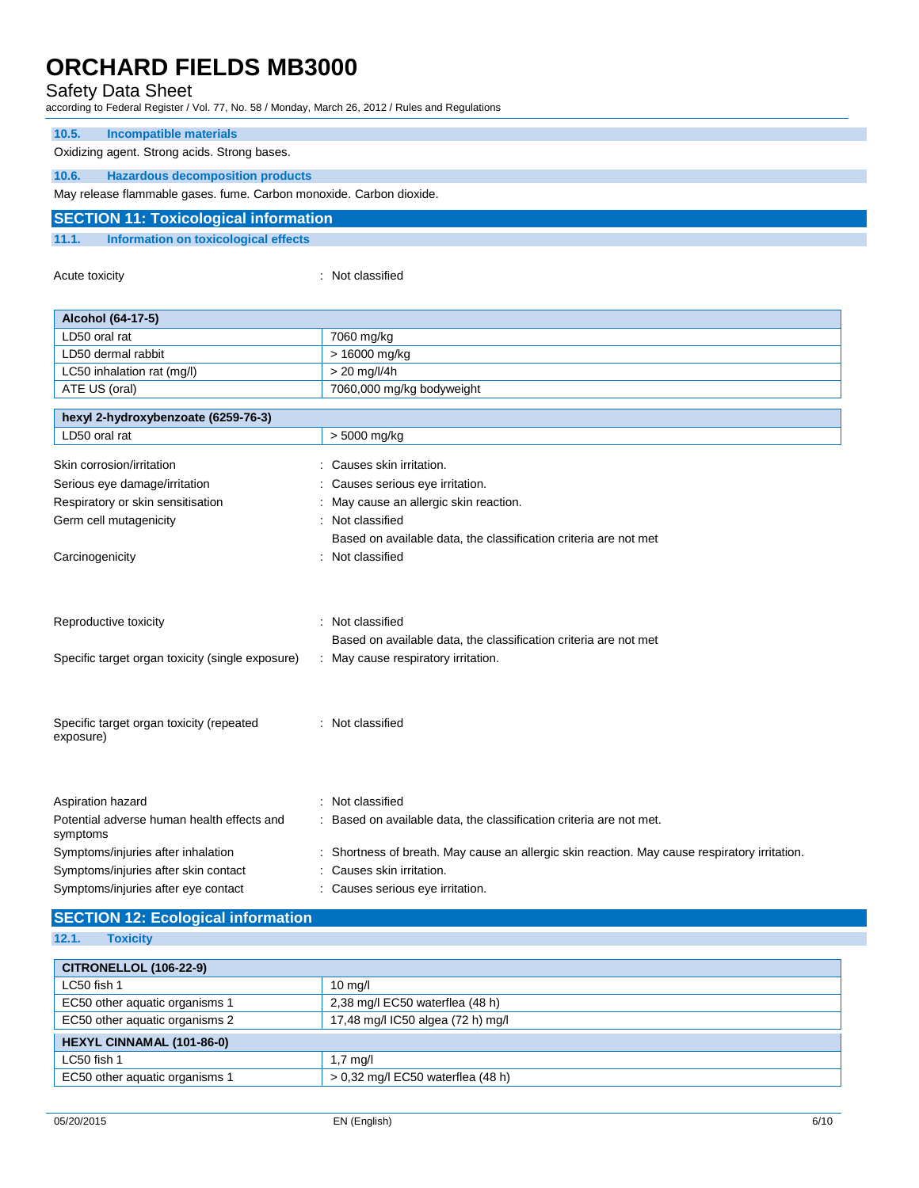## Safety Data Sheet

according to Federal Register / Vol. 77, No. 58 / Monday, March 26, 2012 / Rules and Regulations

| 10.5.                                        | Incompatible materials                                              |
|----------------------------------------------|---------------------------------------------------------------------|
|                                              | Oxidizing agent. Strong acids. Strong bases.                        |
| 10.6.                                        | <b>Hazardous decomposition products</b>                             |
|                                              | May release flammable gases. fume. Carbon monoxide. Carbon dioxide. |
| <b>SECTION 11: Toxicological information</b> |                                                                     |

**11.1. Information on toxicological effects**

Acute toxicity **in the case of the contract of the contract of the contract of the contract of the contract of the contract of the contract of the contract of the contract of the contract of the contract of the contract of** 

| Alcohol (64-17-5)                                                                                                 |                                                                                                                                                            |
|-------------------------------------------------------------------------------------------------------------------|------------------------------------------------------------------------------------------------------------------------------------------------------------|
| LD50 oral rat                                                                                                     | 7060 mg/kg                                                                                                                                                 |
| LD50 dermal rabbit                                                                                                | > 16000 mg/kg                                                                                                                                              |
| LC50 inhalation rat (mg/l)                                                                                        | $> 20$ mg/l/4h                                                                                                                                             |
| ATE US (oral)                                                                                                     | 7060,000 mg/kg bodyweight                                                                                                                                  |
| hexyl 2-hydroxybenzoate (6259-76-3)                                                                               |                                                                                                                                                            |
| LD50 oral rat                                                                                                     | $> 5000$ mg/kg                                                                                                                                             |
| Skin corrosion/irritation                                                                                         | Causes skin irritation.                                                                                                                                    |
| Serious eye damage/irritation                                                                                     | Causes serious eye irritation.                                                                                                                             |
| Respiratory or skin sensitisation                                                                                 | May cause an allergic skin reaction.                                                                                                                       |
| Germ cell mutagenicity                                                                                            | Not classified                                                                                                                                             |
|                                                                                                                   | Based on available data, the classification criteria are not met                                                                                           |
| Carcinogenicity                                                                                                   | : Not classified                                                                                                                                           |
| Reproductive toxicity<br>Specific target organ toxicity (single exposure)                                         | : Not classified<br>Based on available data, the classification criteria are not met<br>: May cause respiratory irritation.                                |
| Specific target organ toxicity (repeated<br>exposure)                                                             | : Not classified                                                                                                                                           |
| Aspiration hazard<br>Potential adverse human health effects and<br>symptoms                                       | Not classified<br>Based on available data, the classification criteria are not met.                                                                        |
| Symptoms/injuries after inhalation<br>Symptoms/injuries after skin contact<br>Symptoms/injuries after eye contact | : Shortness of breath. May cause an allergic skin reaction. May cause respiratory irritation.<br>Causes skin irritation.<br>Causes serious eye irritation. |

# **SECTION 12: Ecological information**

**12.1. Toxicity**

| <b>CITRONELLOL (106-22-9)</b>    |                                     |  |
|----------------------------------|-------------------------------------|--|
| LC50 fish 1                      | $10 \text{ mg/l}$                   |  |
| EC50 other aquatic organisms 1   | 2,38 mg/l EC50 waterflea (48 h)     |  |
| EC50 other aquatic organisms 2   | 17,48 mg/l IC50 algea (72 h) mg/l   |  |
| <b>HEXYL CINNAMAL (101-86-0)</b> |                                     |  |
| LC50 fish 1                      | $1.7 \text{ mq/l}$                  |  |
| EC50 other aquatic organisms 1   | $> 0.32$ mg/l EC50 waterflea (48 h) |  |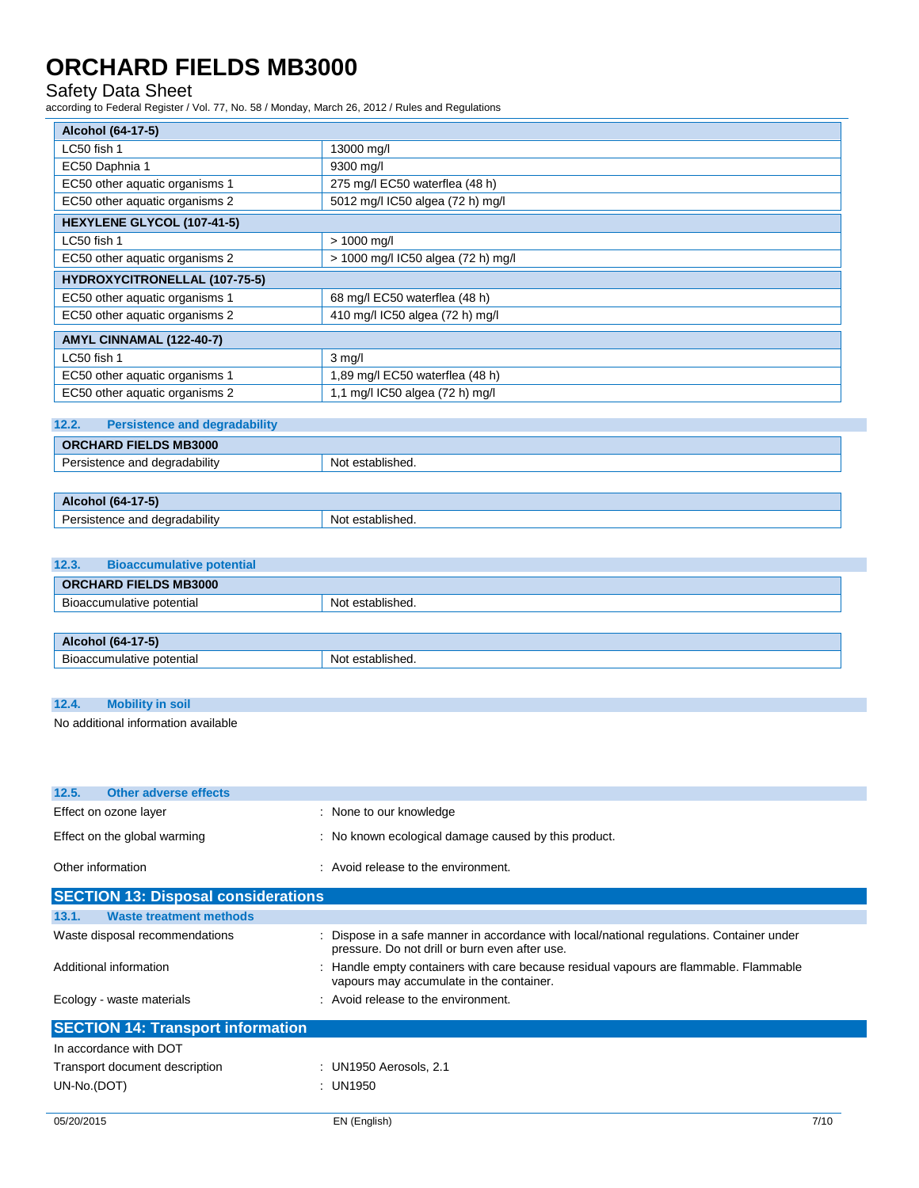# Safety Data Sheet

according to Federal Register / Vol. 77, No. 58 / Monday, March 26, 2012 / Rules and Regulations

| Alcohol (64-17-5)                    |                                    |
|--------------------------------------|------------------------------------|
| LC50 fish 1                          | 13000 mg/l                         |
| EC50 Daphnia 1                       | 9300 mg/l                          |
| EC50 other aquatic organisms 1       | 275 mg/l EC50 waterflea (48 h)     |
| EC50 other aquatic organisms 2       | 5012 mg/l IC50 algea (72 h) mg/l   |
| HEXYLENE GLYCOL (107-41-5)           |                                    |
| LC50 fish 1                          | $> 1000$ mg/l                      |
| EC50 other aquatic organisms 2       | > 1000 mg/l IC50 algea (72 h) mg/l |
| <b>HYDROXYCITRONELLAL (107-75-5)</b> |                                    |
| EC50 other aquatic organisms 1       | 68 mg/l EC50 waterflea (48 h)      |
| EC50 other aquatic organisms 2       | 410 mg/l IC50 algea (72 h) mg/l    |
| AMYL CINNAMAL (122-40-7)             |                                    |
| LC50 fish 1                          | $3$ mg/l                           |
| EC50 other aquatic organisms 1       | 1,89 mg/l EC50 waterflea (48 h)    |
| EC50 other aquatic organisms 2       | 1,1 mg/l IC50 algea (72 h) mg/l    |
|                                      |                                    |

## **12.2. Persistence and degradability**

| $\cdots$<br>-<br>dearadabılıtv<br>N∩t<br>*establisheu.<br>יי |  |
|--------------------------------------------------------------|--|

| Alc<br>164<br>$( -5)$<br>по                  |                                  |
|----------------------------------------------|----------------------------------|
| $\cdots$<br>degradability<br>anc<br>nnn<br>. | lishea.<br>NM.<br>$\sim$<br>. ור |

## **12.3. Bioaccumulative potential**

| <b>ORCHARD FIELDS MB3000</b> |                  |
|------------------------------|------------------|
| Bioaccumulative potential    | Not established. |
|                              |                  |
| Alcohol (64-17-5)            |                  |

| 15 Let 14 . 4 . 4<br>Nl∩′<br>$\sim$<br>isned |
|----------------------------------------------|
|                                              |

| 12.4. | <b>Mobility in soil</b>             |
|-------|-------------------------------------|
|       | No odditional information quailable |

| No additional information available |  |
|-------------------------------------|--|
|-------------------------------------|--|

| 12.5.                                      | <b>Other adverse effects</b>   |  |                                                    |
|--------------------------------------------|--------------------------------|--|----------------------------------------------------|
|                                            | Effect on ozone layer          |  | : None to our knowledge                            |
| Effect on the global warming               |                                |  | No known ecological damage caused by this product. |
| Other information                          |                                |  | : Avoid release to the environment.                |
| <b>SECTION 13: Disposal considerations</b> |                                |  |                                                    |
| 13.1.                                      | <b>Waste treatment methods</b> |  |                                                    |

| Waste disposal recommendations           | : Dispose in a safe manner in accordance with local/national regulations. Container under<br>pressure. Do not drill or burn even after use. |
|------------------------------------------|---------------------------------------------------------------------------------------------------------------------------------------------|
| Additional information                   | : Handle empty containers with care because residual vapours are flammable. Flammable<br>vapours may accumulate in the container.           |
| Ecology - waste materials                | : Avoid release to the environment.                                                                                                         |
| <b>SECTION 14: Transport information</b> |                                                                                                                                             |
| In accordance with DOT                   |                                                                                                                                             |
| Transport document description           | : UN1950 Aerosols, 2.1                                                                                                                      |

UN-No.(DOT) : UN1950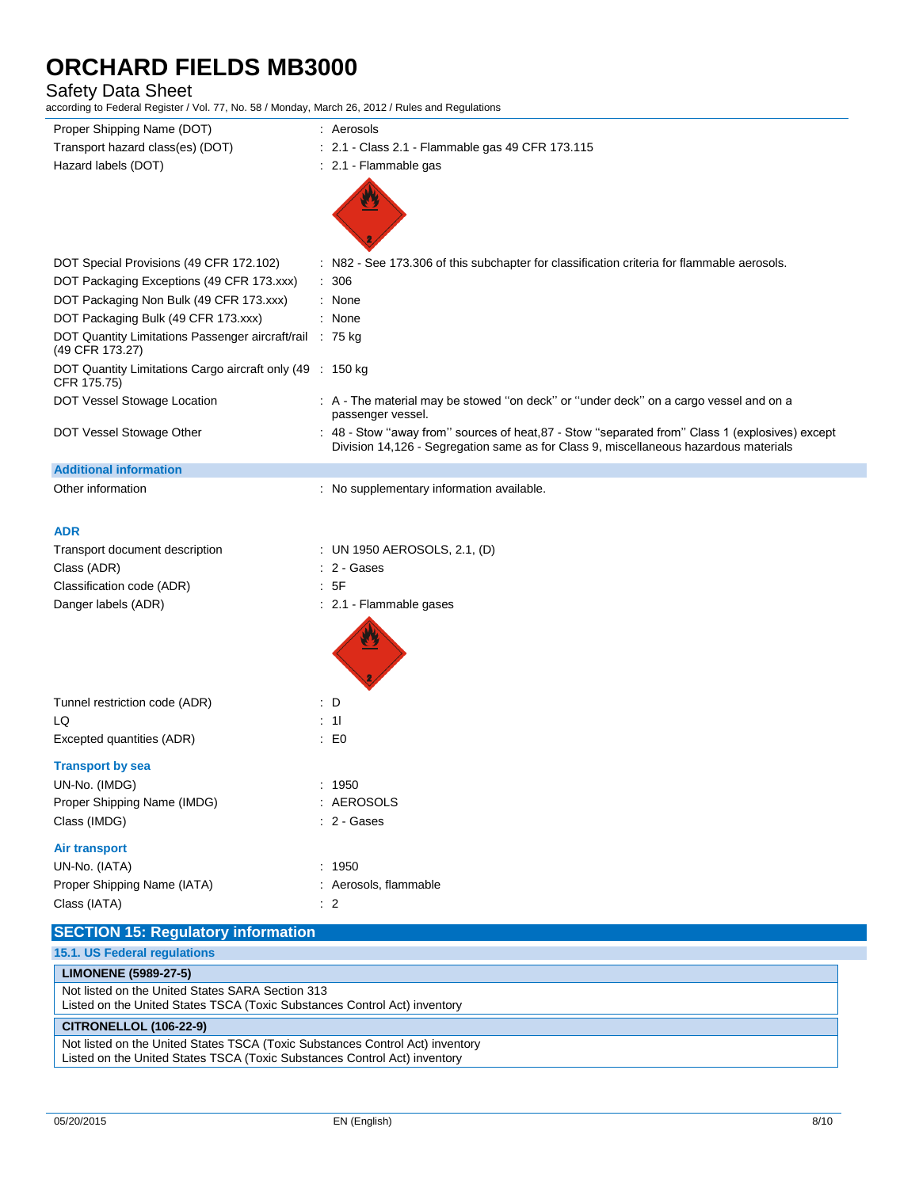## Safety Data Sheet

according to Federal Register / Vol. 77, No. 58 / Monday, March 26, 2012 / Rules and Regulations

| according to I cucial Register / Vol. 77, No. 00 / Monday, March 20, 2012 / Ruico and Regulations |                                                                                                                                                                                         |  |
|---------------------------------------------------------------------------------------------------|-----------------------------------------------------------------------------------------------------------------------------------------------------------------------------------------|--|
| Proper Shipping Name (DOT)                                                                        | : Aerosols                                                                                                                                                                              |  |
| Transport hazard class(es) (DOT)                                                                  | : 2.1 - Class 2.1 - Flammable gas 49 CFR 173.115                                                                                                                                        |  |
| Hazard labels (DOT)                                                                               | : 2.1 - Flammable gas                                                                                                                                                                   |  |
|                                                                                                   |                                                                                                                                                                                         |  |
|                                                                                                   |                                                                                                                                                                                         |  |
|                                                                                                   |                                                                                                                                                                                         |  |
|                                                                                                   |                                                                                                                                                                                         |  |
| DOT Special Provisions (49 CFR 172.102)                                                           | : N82 - See 173.306 of this subchapter for classification criteria for flammable aerosols.                                                                                              |  |
| DOT Packaging Exceptions (49 CFR 173.xxx)                                                         | : 306                                                                                                                                                                                   |  |
| DOT Packaging Non Bulk (49 CFR 173.xxx)                                                           | : None                                                                                                                                                                                  |  |
| DOT Packaging Bulk (49 CFR 173.xxx)                                                               | : None                                                                                                                                                                                  |  |
| DOT Quantity Limitations Passenger aircraft/rail : 75 kg                                          |                                                                                                                                                                                         |  |
| (49 CFR 173.27)                                                                                   |                                                                                                                                                                                         |  |
| DOT Quantity Limitations Cargo aircraft only (49 : 150 kg<br>CFR 175.75)                          |                                                                                                                                                                                         |  |
| DOT Vessel Stowage Location                                                                       | : A - The material may be stowed "on deck" or "under deck" on a cargo vessel and on a                                                                                                   |  |
|                                                                                                   | passenger vessel.                                                                                                                                                                       |  |
| DOT Vessel Stowage Other                                                                          | : 48 - Stow "away from" sources of heat, 87 - Stow "separated from" Class 1 (explosives) except<br>Division 14,126 - Segregation same as for Class 9, miscellaneous hazardous materials |  |
|                                                                                                   |                                                                                                                                                                                         |  |
| <b>Additional information</b>                                                                     |                                                                                                                                                                                         |  |
| Other information                                                                                 | : No supplementary information available.                                                                                                                                               |  |
|                                                                                                   |                                                                                                                                                                                         |  |
| <b>ADR</b>                                                                                        |                                                                                                                                                                                         |  |
| Transport document description                                                                    | : UN 1950 AEROSOLS, 2.1, (D)                                                                                                                                                            |  |
| Class (ADR)                                                                                       | : 2 - Gases                                                                                                                                                                             |  |
| Classification code (ADR)                                                                         | : 5F                                                                                                                                                                                    |  |
| Danger labels (ADR)                                                                               | : 2.1 - Flammable gases                                                                                                                                                                 |  |
|                                                                                                   |                                                                                                                                                                                         |  |
|                                                                                                   |                                                                                                                                                                                         |  |
|                                                                                                   |                                                                                                                                                                                         |  |
|                                                                                                   |                                                                                                                                                                                         |  |
|                                                                                                   | : D                                                                                                                                                                                     |  |
| Tunnel restriction code (ADR)                                                                     |                                                                                                                                                                                         |  |
| LQ                                                                                                | $\therefore$ 11                                                                                                                                                                         |  |
| Excepted quantities (ADR)                                                                         | $\therefore$ EO                                                                                                                                                                         |  |
| <b>Transport by sea</b>                                                                           |                                                                                                                                                                                         |  |
| UN-No. (IMDG)                                                                                     | : 1950                                                                                                                                                                                  |  |
| Proper Shipping Name (IMDG)                                                                       | : AEROSOLS                                                                                                                                                                              |  |
| Class (IMDG)                                                                                      | : 2 - Gases                                                                                                                                                                             |  |
|                                                                                                   |                                                                                                                                                                                         |  |
| <b>Air transport</b>                                                                              |                                                                                                                                                                                         |  |
| UN-No. (IATA)                                                                                     | : 1950                                                                                                                                                                                  |  |
| Proper Shipping Name (IATA)                                                                       | : Aerosols, flammable                                                                                                                                                                   |  |
| Class (IATA)                                                                                      | $\therefore$ 2                                                                                                                                                                          |  |
| <b>SECTION 15: Regulatory information</b>                                                         |                                                                                                                                                                                         |  |
| 15.1. US Federal regulations                                                                      |                                                                                                                                                                                         |  |
| <b>LIMONENE (5989-27-5)</b>                                                                       |                                                                                                                                                                                         |  |
| Not listed on the United States SARA Section 313                                                  |                                                                                                                                                                                         |  |
| Listed on the United States TSCA (Toxic Substances Control Act) inventory                         |                                                                                                                                                                                         |  |

#### **CITRONELLOL (106-22-9)**

Not listed on the United States TSCA (Toxic Substances Control Act) inventory Listed on the United States TSCA (Toxic Substances Control Act) inventory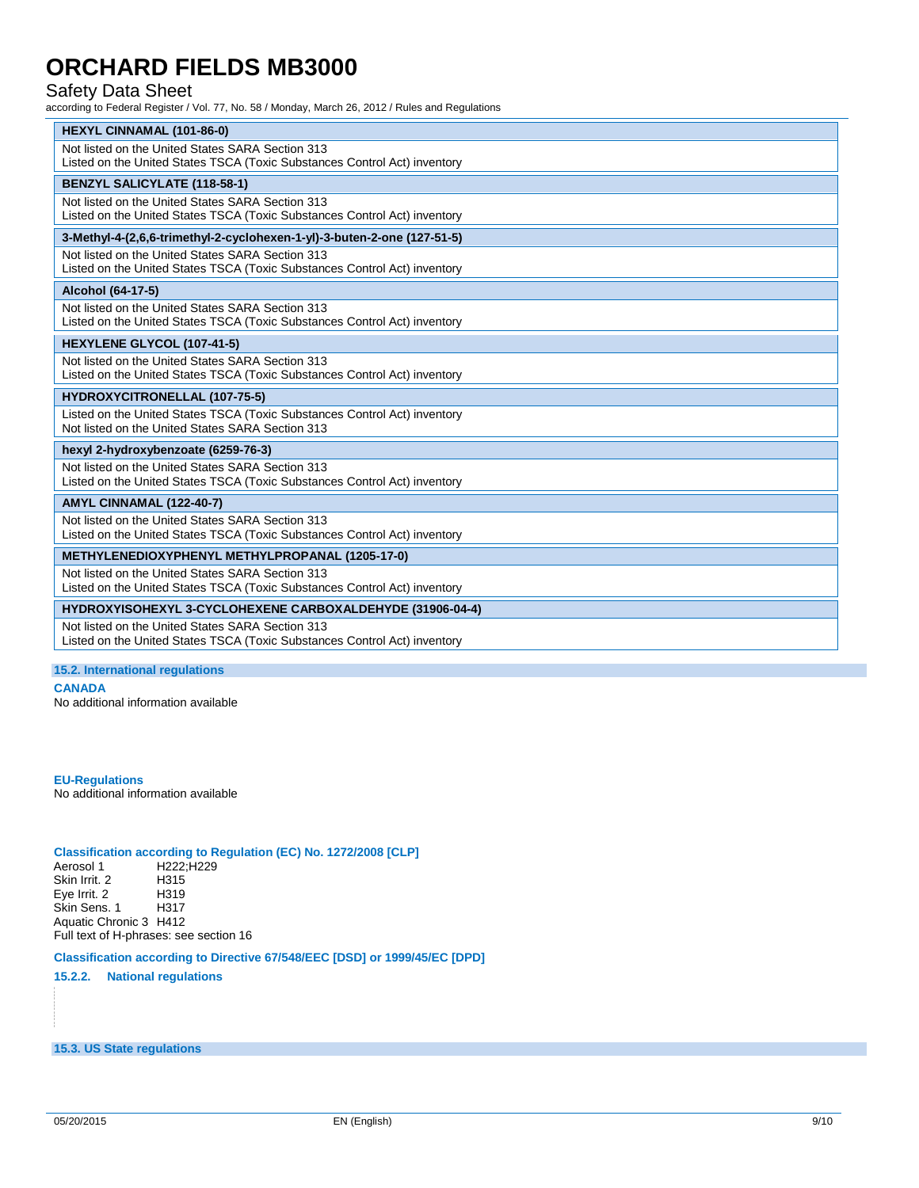## Safety Data Sheet

according to Federal Register / Vol. 77, No. 58 / Monday, March 26, 2012 / Rules and Regulations

| <b>HEXYL CINNAMAL (101-86-0)</b>                                                                                              |
|-------------------------------------------------------------------------------------------------------------------------------|
| Not listed on the United States SARA Section 313                                                                              |
| Listed on the United States TSCA (Toxic Substances Control Act) inventory                                                     |
| <b>BENZYL SALICYLATE (118-58-1)</b>                                                                                           |
| Not listed on the United States SARA Section 313<br>Listed on the United States TSCA (Toxic Substances Control Act) inventory |
|                                                                                                                               |
| 3-Methyl-4-(2,6,6-trimethyl-2-cyclohexen-1-yl)-3-buten-2-one (127-51-5)                                                       |
| Not listed on the United States SARA Section 313<br>Listed on the United States TSCA (Toxic Substances Control Act) inventory |
| Alcohol (64-17-5)                                                                                                             |
| Not listed on the United States SARA Section 313                                                                              |
| Listed on the United States TSCA (Toxic Substances Control Act) inventory                                                     |
| HEXYLENE GLYCOL (107-41-5)                                                                                                    |
| Not listed on the United States SARA Section 313<br>Listed on the United States TSCA (Toxic Substances Control Act) inventory |
|                                                                                                                               |
| <b>HYDROXYCITRONELLAL (107-75-5)</b>                                                                                          |
| Listed on the United States TSCA (Toxic Substances Control Act) inventory<br>Not listed on the United States SARA Section 313 |
| hexyl 2-hydroxybenzoate (6259-76-3)                                                                                           |
| Not listed on the United States SARA Section 313                                                                              |
| Listed on the United States TSCA (Toxic Substances Control Act) inventory                                                     |
| AMYL CINNAMAL (122-40-7)                                                                                                      |
| Not listed on the United States SARA Section 313                                                                              |
| Listed on the United States TSCA (Toxic Substances Control Act) inventory                                                     |
| <b>METHYLENEDIOXYPHENYL METHYLPROPANAL (1205-17-0)</b>                                                                        |
| Not listed on the United States SARA Section 313<br>Listed on the United States TSCA (Toxic Substances Control Act) inventory |
| HYDROXYISOHEXYL 3-CYCLOHEXENE CARBOXALDEHYDE (31906-04-4)                                                                     |
| Not listed on the United States SARA Section 313<br>Listed on the United States TSCA (Toxic Substances Control Act) inventory |

#### **15.2. International regulations**

**CANADA**

No additional information available

**EU-Regulations** No additional information available

# **Classification according to Regulation (EC) No. 1272/2008 [CLP]**

H222;H229<br>H315 Skin Irrit. 2 H315 Eye Irrit. 2 H319 Skin Sens. 1 Aquatic Chronic 3 H412 Full text of H-phrases: see section 16

#### **Classification according to Directive 67/548/EEC [DSD] or 1999/45/EC [DPD]**

**15.2.2. National regulations**

**15.3. US State regulations**